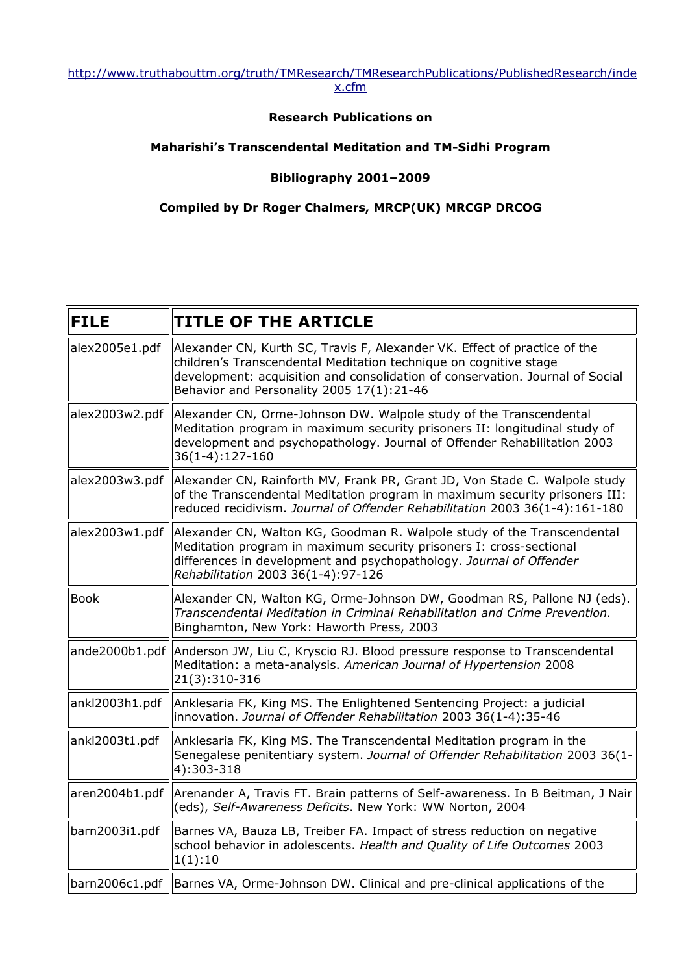#### [http://www.truthabouttm.org/truth/TMResearch/TMResearchPublications/PublishedResearch/inde](http://www.truthabouttm.org/truth/TMResearch/TMResearchPublications/PublishedResearch/index.cfm) [x.cfm](http://www.truthabouttm.org/truth/TMResearch/TMResearchPublications/PublishedResearch/index.cfm)

# **Research Publications on**

### **Maharishi's Transcendental Meditation and TM-Sidhi Program**

# **Bibliography 2001–2009**

### **Compiled by Dr Roger Chalmers, MRCP(UK) MRCGP DRCOG**

| <b>FILE</b>    | <b>TITLE OF THE ARTICLE</b>                                                                                                                                                                                                                                                  |
|----------------|------------------------------------------------------------------------------------------------------------------------------------------------------------------------------------------------------------------------------------------------------------------------------|
| alex2005e1.pdf | Alexander CN, Kurth SC, Travis F, Alexander VK. Effect of practice of the<br>children's Transcendental Meditation technique on cognitive stage<br>development: acquisition and consolidation of conservation. Journal of Social<br>Behavior and Personality 2005 17(1):21-46 |
| alex2003w2.pdf | Alexander CN, Orme-Johnson DW. Walpole study of the Transcendental<br>Meditation program in maximum security prisoners II: longitudinal study of<br>development and psychopathology. Journal of Offender Rehabilitation 2003<br>36(1-4):127-160                              |
| alex2003w3.pdf | Alexander CN, Rainforth MV, Frank PR, Grant JD, Von Stade C. Walpole study<br>of the Transcendental Meditation program in maximum security prisoners III:<br>reduced recidivism. Journal of Offender Rehabilitation 2003 36(1-4):161-180                                     |
| alex2003w1.pdf | Alexander CN, Walton KG, Goodman R. Walpole study of the Transcendental<br>Meditation program in maximum security prisoners I: cross-sectional<br>differences in development and psychopathology. Journal of Offender<br>Rehabilitation 2003 36(1-4):97-126                  |
| <b>Book</b>    | Alexander CN, Walton KG, Orme-Johnson DW, Goodman RS, Pallone NJ (eds).<br>Transcendental Meditation in Criminal Rehabilitation and Crime Prevention.<br>Binghamton, New York: Haworth Press, 2003                                                                           |
| ande2000b1.pdf | Anderson JW, Liu C, Kryscio RJ. Blood pressure response to Transcendental<br>Meditation: a meta-analysis. American Journal of Hypertension 2008<br>21(3):310-316                                                                                                             |
| ankl2003h1.pdf | Anklesaria FK, King MS. The Enlightened Sentencing Project: a judicial<br>innovation. Journal of Offender Rehabilitation 2003 36(1-4):35-46                                                                                                                                  |
| ankl2003t1.pdf | Anklesaria FK, King MS. The Transcendental Meditation program in the<br>Senegalese penitentiary system. Journal of Offender Rehabilitation 2003 36(1-<br>4):303-318                                                                                                          |
| aren2004b1.pdf | Arenander A, Travis FT. Brain patterns of Self-awareness. In B Beitman, J Nair<br>(eds), Self-Awareness Deficits. New York: WW Norton, 2004                                                                                                                                  |
| barn2003i1.pdf | Barnes VA, Bauza LB, Treiber FA. Impact of stress reduction on negative<br>school behavior in adolescents. Health and Quality of Life Outcomes 2003<br>1(1):10                                                                                                               |
|                | barn2006c1.pdf   Barnes VA, Orme-Johnson DW. Clinical and pre-clinical applications of the                                                                                                                                                                                   |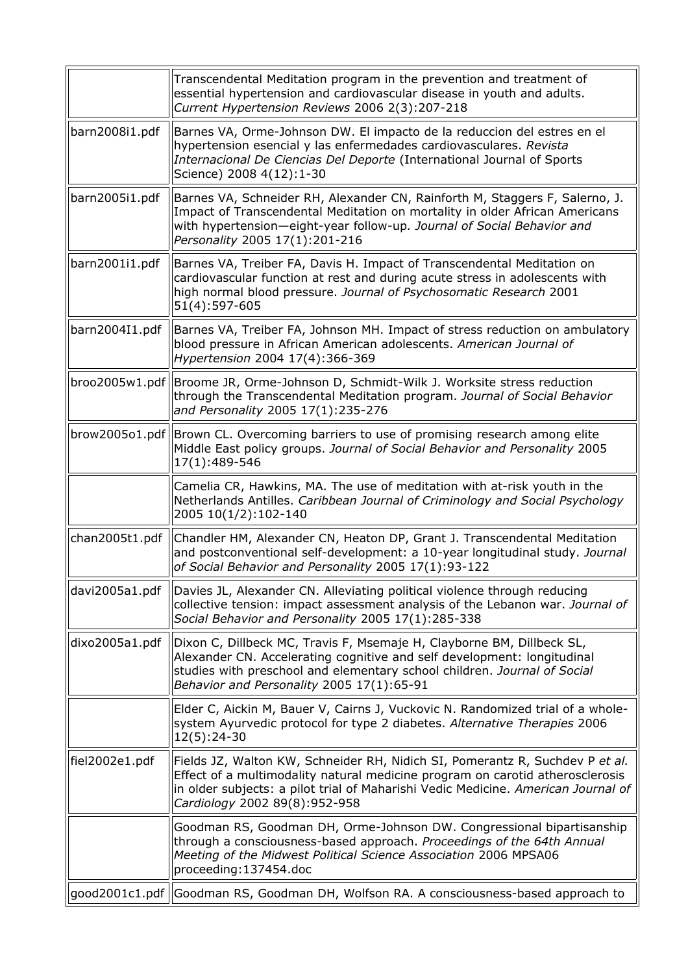|                 | Transcendental Meditation program in the prevention and treatment of<br>essential hypertension and cardiovascular disease in youth and adults.<br>Current Hypertension Reviews 2006 2(3):207-218                                                                                    |
|-----------------|-------------------------------------------------------------------------------------------------------------------------------------------------------------------------------------------------------------------------------------------------------------------------------------|
| barn2008i1.pdf  | Barnes VA, Orme-Johnson DW. El impacto de la reduccion del estres en el<br>hypertension esencial y las enfermedades cardiovasculares. Revista<br>Internacional De Ciencias Del Deporte (International Journal of Sports<br>Science) 2008 4(12):1-30                                 |
| barn2005i1.pdf  | Barnes VA, Schneider RH, Alexander CN, Rainforth M, Staggers F, Salerno, J.<br>Impact of Transcendental Meditation on mortality in older African Americans<br>with hypertension-eight-year follow-up. Journal of Social Behavior and<br>Personality 2005 17(1):201-216              |
| barn2001i1.pdf  | Barnes VA, Treiber FA, Davis H. Impact of Transcendental Meditation on<br>cardiovascular function at rest and during acute stress in adolescents with<br>high normal blood pressure. Journal of Psychosomatic Research 2001<br>51(4):597-605                                        |
| barn2004I1.pdf  | Barnes VA, Treiber FA, Johnson MH. Impact of stress reduction on ambulatory<br>blood pressure in African American adolescents. American Journal of<br>Hypertension 2004 17(4):366-369                                                                                               |
| broo2005w1.pdf  | Broome JR, Orme-Johnson D, Schmidt-Wilk J. Worksite stress reduction<br>through the Transcendental Meditation program. Journal of Social Behavior<br>and Personality 2005 17(1):235-276                                                                                             |
| brown2005o1.pdf | Brown CL. Overcoming barriers to use of promising research among elite<br>Middle East policy groups. Journal of Social Behavior and Personality 2005<br>17(1):489-546                                                                                                               |
|                 | Camelia CR, Hawkins, MA. The use of meditation with at-risk youth in the<br>Netherlands Antilles. Caribbean Journal of Criminology and Social Psychology<br>2005 10(1/2):102-140                                                                                                    |
| chan2005t1.pdf  | Chandler HM, Alexander CN, Heaton DP, Grant J. Transcendental Meditation<br>and postconventional self-development: a 10-year longitudinal study. Journal<br>of Social Behavior and Personality 2005 17(1):93-122                                                                    |
| davi2005a1.pdf  | Davies JL, Alexander CN. Alleviating political violence through reducing<br>collective tension: impact assessment analysis of the Lebanon war. Journal of<br>Social Behavior and Personality 2005 17(1):285-338                                                                     |
| dixo2005a1.pdf  | Dixon C, Dillbeck MC, Travis F, Msemaje H, Clayborne BM, Dillbeck SL,<br>Alexander CN. Accelerating cognitive and self development: longitudinal<br>studies with preschool and elementary school children. Journal of Social<br>Behavior and Personality 2005 17(1):65-91           |
|                 | Elder C, Aickin M, Bauer V, Cairns J, Vuckovic N. Randomized trial of a whole-<br>system Ayurvedic protocol for type 2 diabetes. Alternative Therapies 2006<br>$12(5):24-30$                                                                                                        |
| fiel2002e1.pdf  | Fields JZ, Walton KW, Schneider RH, Nidich SI, Pomerantz R, Suchdev P et al.<br>Effect of a multimodality natural medicine program on carotid atherosclerosis<br>in older subjects: a pilot trial of Maharishi Vedic Medicine. American Journal of<br>Cardiology 2002 89(8):952-958 |
|                 | Goodman RS, Goodman DH, Orme-Johnson DW. Congressional bipartisanship<br>through a consciousness-based approach. Proceedings of the 64th Annual<br>Meeting of the Midwest Political Science Association 2006 MPSA06<br>proceeding: 137454.doc                                       |
| good2001c1.pdf  | Goodman RS, Goodman DH, Wolfson RA. A consciousness-based approach to                                                                                                                                                                                                               |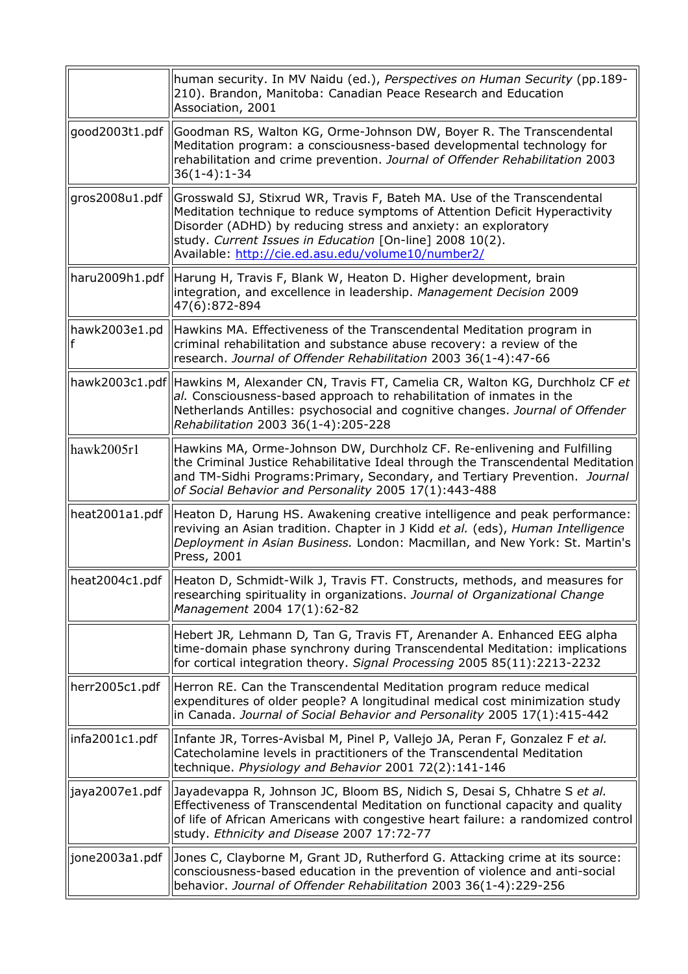|                | human security. In MV Naidu (ed.), Perspectives on Human Security (pp.189-<br>210). Brandon, Manitoba: Canadian Peace Research and Education<br>Association, 2001                                                                                                                                                                         |
|----------------|-------------------------------------------------------------------------------------------------------------------------------------------------------------------------------------------------------------------------------------------------------------------------------------------------------------------------------------------|
| good2003t1.pdf | Goodman RS, Walton KG, Orme-Johnson DW, Boyer R. The Transcendental<br>Meditation program: a consciousness-based developmental technology for<br>rehabilitation and crime prevention. Journal of Offender Rehabilitation 2003<br>$36(1-4):1-34$                                                                                           |
| gros2008u1.pdf | Grosswald SJ, Stixrud WR, Travis F, Bateh MA. Use of the Transcendental<br>Meditation technique to reduce symptoms of Attention Deficit Hyperactivity<br>Disorder (ADHD) by reducing stress and anxiety: an exploratory<br>study. Current Issues in Education [On-line] 2008 10(2).<br>Available: http://cie.ed.asu.edu/volume10/number2/ |
| haru2009h1.pdf | Harung H, Travis F, Blank W, Heaton D. Higher development, brain<br>integration, and excellence in leadership. Management Decision 2009<br>47(6):872-894                                                                                                                                                                                  |
| hawk2003e1.pd  | Hawkins MA. Effectiveness of the Transcendental Meditation program in<br>criminal rehabilitation and substance abuse recovery: a review of the<br>research. Journal of Offender Rehabilitation 2003 36(1-4):47-66                                                                                                                         |
| hawk2003c1.pdf | Hawkins M, Alexander CN, Travis FT, Camelia CR, Walton KG, Durchholz CF et<br>al. Consciousness-based approach to rehabilitation of inmates in the<br>Netherlands Antilles: psychosocial and cognitive changes. Journal of Offender<br>Rehabilitation 2003 36(1-4):205-228                                                                |
| hawk2005r1     | Hawkins MA, Orme-Johnson DW, Durchholz CF. Re-enlivening and Fulfilling<br>the Criminal Justice Rehabilitative Ideal through the Transcendental Meditation<br>and TM-Sidhi Programs: Primary, Secondary, and Tertiary Prevention. Journal<br>of Social Behavior and Personality 2005 17(1):443-488                                        |
| heat2001a1.pdf | Heaton D, Harung HS. Awakening creative intelligence and peak performance:<br>reviving an Asian tradition. Chapter in J Kidd et al. (eds), Human Intelligence<br>Deployment in Asian Business. London: Macmillan, and New York: St. Martin's<br>Press, 2001                                                                               |
|                | heat2004c1.pdf   Heaton D, Schmidt-Wilk J, Travis FT. Constructs, methods, and measures for<br>researching spirituality in organizations. Journal of Organizational Change<br>Management 2004 17(1):62-82                                                                                                                                 |
|                | Hebert JR, Lehmann D, Tan G, Travis FT, Arenander A. Enhanced EEG alpha<br>time-domain phase synchrony during Transcendental Meditation: implications<br>for cortical integration theory. Signal Processing 2005 85(11):2213-2232                                                                                                         |
| herr2005c1.pdf | Herron RE. Can the Transcendental Meditation program reduce medical<br>expenditures of older people? A longitudinal medical cost minimization study<br>in Canada. Journal of Social Behavior and Personality 2005 17(1):415-442                                                                                                           |
| infa2001c1.pdf | Infante JR, Torres-Avisbal M, Pinel P, Vallejo JA, Peran F, Gonzalez F et al.<br>Catecholamine levels in practitioners of the Transcendental Meditation<br>technique. Physiology and Behavior 2001 72(2):141-146                                                                                                                          |
| jaya2007e1.pdf | Jayadevappa R, Johnson JC, Bloom BS, Nidich S, Desai S, Chhatre S et al.<br>Effectiveness of Transcendental Meditation on functional capacity and quality<br>of life of African Americans with congestive heart failure: a randomized control<br>study. Ethnicity and Disease 2007 17:72-77                                               |
| jone2003a1.pdf | Jones C, Clayborne M, Grant JD, Rutherford G. Attacking crime at its source:<br>consciousness-based education in the prevention of violence and anti-social<br>behavior. Journal of Offender Rehabilitation 2003 36(1-4):229-256                                                                                                          |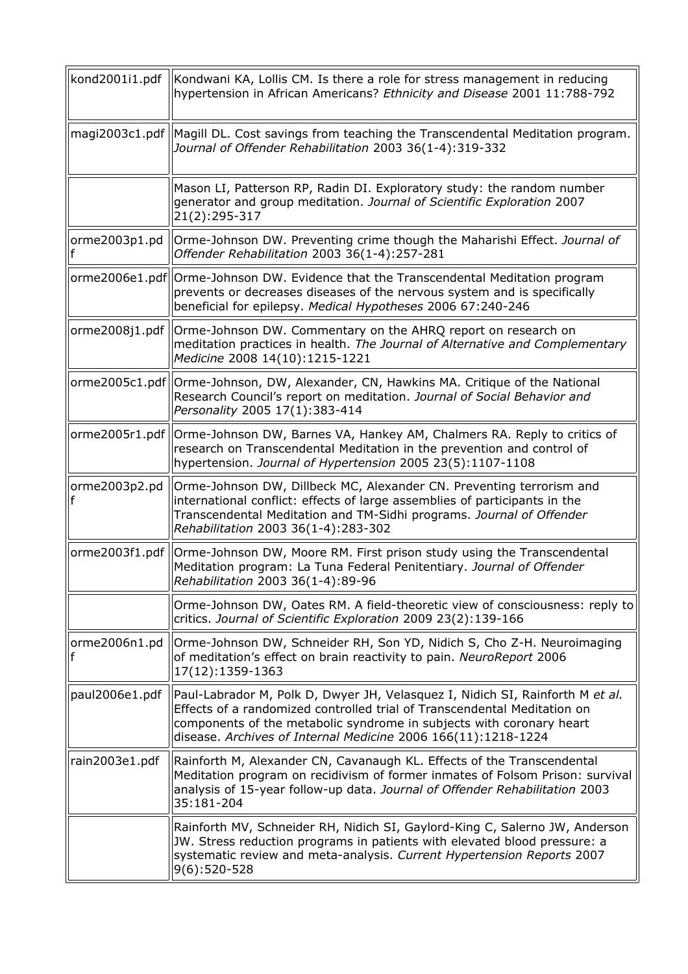| kond2001i1.pdf | Kondwani KA, Lollis CM. Is there a role for stress management in reducing<br>hypertension in African Americans? Ethnicity and Disease 2001 11:788-792                                                                                                                                              |
|----------------|----------------------------------------------------------------------------------------------------------------------------------------------------------------------------------------------------------------------------------------------------------------------------------------------------|
| magi2003c1.pdf | Magill DL. Cost savings from teaching the Transcendental Meditation program.<br>Journal of Offender Rehabilitation 2003 36(1-4):319-332                                                                                                                                                            |
|                | Mason LI, Patterson RP, Radin DI. Exploratory study: the random number<br>generator and group meditation. Journal of Scientific Exploration 2007<br>21(2):295-317                                                                                                                                  |
| orme2003p1.pd  | Orme-Johnson DW. Preventing crime though the Maharishi Effect. Journal of<br>Offender Rehabilitation 2003 36(1-4):257-281                                                                                                                                                                          |
|                | orme2006e1.pdf Orme-Johnson DW. Evidence that the Transcendental Meditation program<br>prevents or decreases diseases of the nervous system and is specifically<br>beneficial for epilepsy. Medical Hypotheses 2006 67:240-246                                                                     |
| orme2008j1.pdf | Orme-Johnson DW. Commentary on the AHRQ report on research on<br>meditation practices in health. The Journal of Alternative and Complementary<br>Medicine 2008 14(10):1215-1221                                                                                                                    |
|                | orme2005c1.pdf   Orme-Johnson, DW, Alexander, CN, Hawkins MA. Critique of the National<br>Research Council's report on meditation. Journal of Social Behavior and<br>Personality 2005 17(1):383-414                                                                                                |
| orme2005r1.pdf | Orme-Johnson DW, Barnes VA, Hankey AM, Chalmers RA. Reply to critics of<br>research on Transcendental Meditation in the prevention and control of<br>hypertension. Journal of Hypertension 2005 23(5):1107-1108                                                                                    |
| orme2003p2.pd  | Orme-Johnson DW, Dillbeck MC, Alexander CN. Preventing terrorism and<br>international conflict: effects of large assemblies of participants in the<br>Transcendental Meditation and TM-Sidhi programs. Journal of Offender<br>Rehabilitation 2003 36(1-4):283-302                                  |
| orme2003f1.pdf | Orme-Johnson DW, Moore RM. First prison study using the Transcendental<br>Meditation program: La Tuna Federal Penitentiary. Journal of Offender<br>Rehabilitation 2003 36(1-4):89-96                                                                                                               |
|                | Orme-Johnson DW, Oates RM. A field-theoretic view of consciousness: reply to<br>critics. Journal of Scientific Exploration 2009 23(2):139-166                                                                                                                                                      |
| orme2006n1.pd  | Orme-Johnson DW, Schneider RH, Son YD, Nidich S, Cho Z-H. Neuroimaging<br>of meditation's effect on brain reactivity to pain. NeuroReport 2006<br>17(12):1359-1363                                                                                                                                 |
| paul2006e1.pdf | Paul-Labrador M, Polk D, Dwyer JH, Velasquez I, Nidich SI, Rainforth M et al.<br>Effects of a randomized controlled trial of Transcendental Meditation on<br>components of the metabolic syndrome in subjects with coronary heart<br>disease. Archives of Internal Medicine 2006 166(11):1218-1224 |
| rain2003e1.pdf | Rainforth M, Alexander CN, Cavanaugh KL. Effects of the Transcendental<br>Meditation program on recidivism of former inmates of Folsom Prison: survival<br>analysis of 15-year follow-up data. Journal of Offender Rehabilitation 2003<br>35:181-204                                               |
|                | Rainforth MV, Schneider RH, Nidich SI, Gaylord-King C, Salerno JW, Anderson<br>JW. Stress reduction programs in patients with elevated blood pressure: a<br>systematic review and meta-analysis. Current Hypertension Reports 2007<br>9(6):520-528                                                 |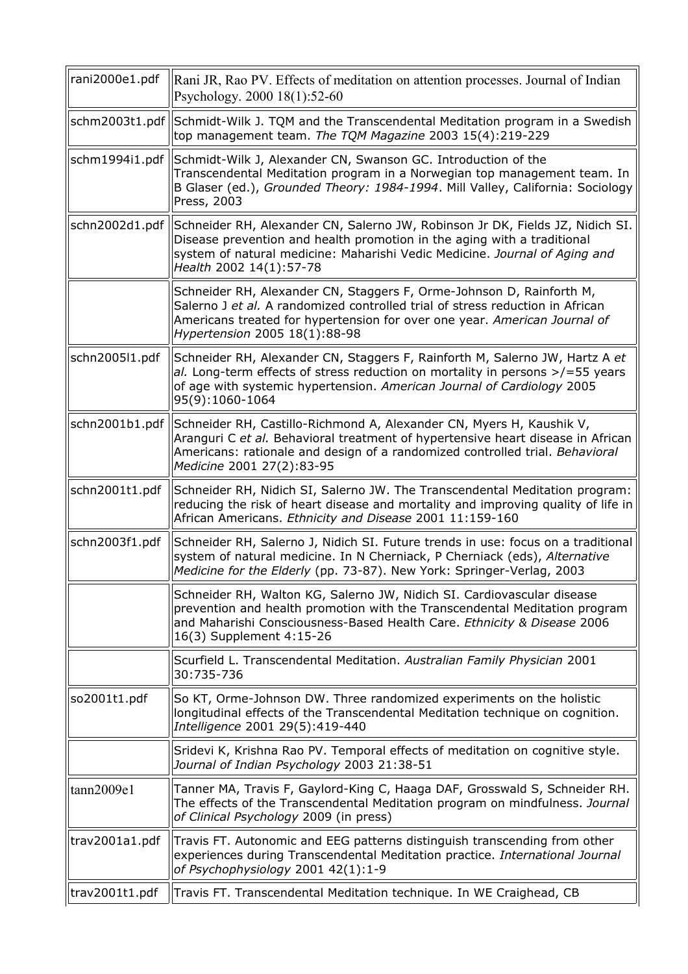| rani2000e1.pdf | Rani JR, Rao PV. Effects of meditation on attention processes. Journal of Indian<br>Psychology. 2000 18(1):52-60                                                                                                                                                     |
|----------------|----------------------------------------------------------------------------------------------------------------------------------------------------------------------------------------------------------------------------------------------------------------------|
| schm2003t1.pdf | Schmidt-Wilk J. TQM and the Transcendental Meditation program in a Swedish<br>top management team. The TQM Magazine 2003 15(4):219-229                                                                                                                               |
| schm1994i1.pdf | Schmidt-Wilk J, Alexander CN, Swanson GC. Introduction of the<br>Transcendental Meditation program in a Norwegian top management team. In<br>B Glaser (ed.), Grounded Theory: 1984-1994. Mill Valley, California: Sociology<br>Press, 2003                           |
| schn2002d1.pdf | Schneider RH, Alexander CN, Salerno JW, Robinson Jr DK, Fields JZ, Nidich SI.<br>Disease prevention and health promotion in the aging with a traditional<br>system of natural medicine: Maharishi Vedic Medicine. Journal of Aging and<br>Health 2002 14(1):57-78    |
|                | Schneider RH, Alexander CN, Staggers F, Orme-Johnson D, Rainforth M,<br>Salerno J et al. A randomized controlled trial of stress reduction in African<br>Americans treated for hypertension for over one year. American Journal of<br>Hypertension 2005 18(1):88-98  |
| schn2005l1.pdf | Schneider RH, Alexander CN, Staggers F, Rainforth M, Salerno JW, Hartz A et<br>al. Long-term effects of stress reduction on mortality in persons $\ge$ /=55 years<br>of age with systemic hypertension. American Journal of Cardiology 2005<br>95(9):1060-1064       |
| schn2001b1.pdf | Schneider RH, Castillo-Richmond A, Alexander CN, Myers H, Kaushik V,<br>Aranguri C et al. Behavioral treatment of hypertensive heart disease in African<br>Americans: rationale and design of a randomized controlled trial. Behavioral<br>Medicine 2001 27(2):83-95 |
| schn2001t1.pdf | Schneider RH, Nidich SI, Salerno JW. The Transcendental Meditation program:<br>reducing the risk of heart disease and mortality and improving quality of life in<br>African Americans. Ethnicity and Disease 2001 11:159-160                                         |
| schn2003f1.pdf | Schneider RH, Salerno J, Nidich SI. Future trends in use: focus on a traditional<br>system of natural medicine. In N Cherniack, P Cherniack (eds), Alternative<br>Medicine for the Elderly (pp. 73-87). New York: Springer-Verlag, 2003                              |
|                | Schneider RH, Walton KG, Salerno JW, Nidich SI. Cardiovascular disease<br>prevention and health promotion with the Transcendental Meditation program<br>and Maharishi Consciousness-Based Health Care. Ethnicity & Disease 2006<br>16(3) Supplement 4:15-26          |
|                | Scurfield L. Transcendental Meditation. Australian Family Physician 2001<br>30:735-736                                                                                                                                                                               |
| so2001t1.pdf   | So KT, Orme-Johnson DW. Three randomized experiments on the holistic<br>longitudinal effects of the Transcendental Meditation technique on cognition.<br>Intelligence 2001 29(5):419-440                                                                             |
|                | Sridevi K, Krishna Rao PV. Temporal effects of meditation on cognitive style.<br>Journal of Indian Psychology 2003 21:38-51                                                                                                                                          |
| tann2009e1     | Tanner MA, Travis F, Gaylord-King C, Haaga DAF, Grosswald S, Schneider RH.<br>The effects of the Transcendental Meditation program on mindfulness. Journal<br>of Clinical Psychology 2009 (in press)                                                                 |
| trav2001a1.pdf | Travis FT. Autonomic and EEG patterns distinguish transcending from other<br>experiences during Transcendental Meditation practice. International Journal<br>of Psychophysiology 2001 42(1):1-9                                                                      |
| trav2001t1.pdf | Travis FT. Transcendental Meditation technique. In WE Craighead, CB                                                                                                                                                                                                  |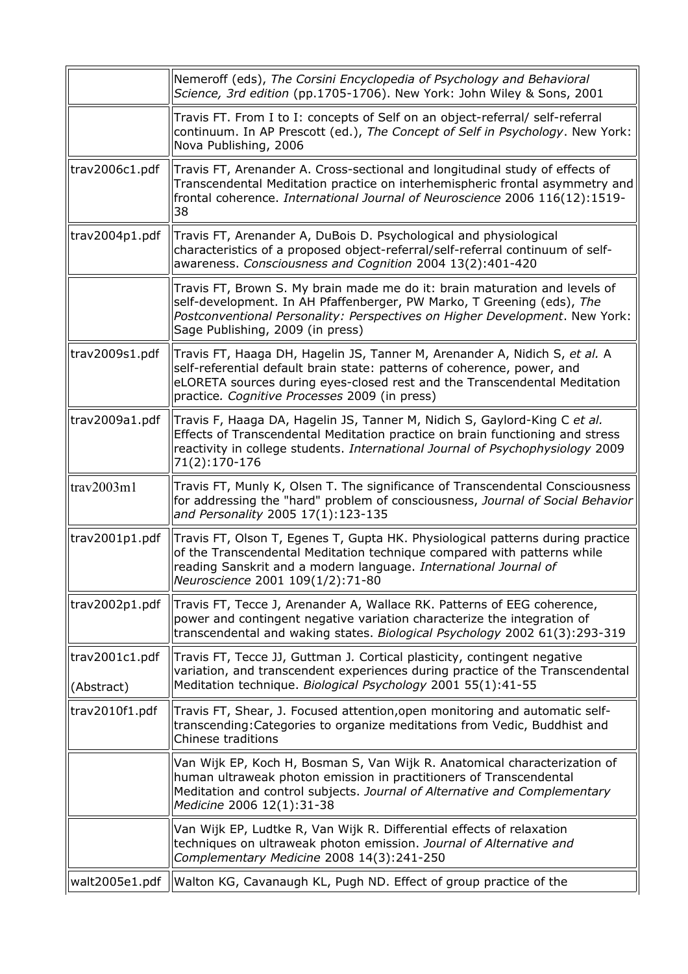|                              | Nemeroff (eds), The Corsini Encyclopedia of Psychology and Behavioral<br>Science, 3rd edition (pp.1705-1706). New York: John Wiley & Sons, 2001                                                                                                                                     |
|------------------------------|-------------------------------------------------------------------------------------------------------------------------------------------------------------------------------------------------------------------------------------------------------------------------------------|
|                              | Travis FT. From I to I: concepts of Self on an object-referral/ self-referral<br>continuum. In AP Prescott (ed.), The Concept of Self in Psychology. New York:<br>Nova Publishing, 2006                                                                                             |
| trav2006c1.pdf               | Travis FT, Arenander A. Cross-sectional and longitudinal study of effects of<br>Transcendental Meditation practice on interhemispheric frontal asymmetry and<br>frontal coherence. International Journal of Neuroscience 2006 116(12):1519-<br>38                                   |
| trav2004p1.pdf               | Travis FT, Arenander A, DuBois D. Psychological and physiological<br>characteristics of a proposed object-referral/self-referral continuum of self-<br>awareness. Consciousness and Cognition 2004 13(2):401-420                                                                    |
|                              | Travis FT, Brown S. My brain made me do it: brain maturation and levels of<br>self-development. In AH Pfaffenberger, PW Marko, T Greening (eds), The<br>Postconventional Personality: Perspectives on Higher Development. New York:<br>Sage Publishing, 2009 (in press)             |
| trav2009s1.pdf               | Travis FT, Haaga DH, Hagelin JS, Tanner M, Arenander A, Nidich S, et al. A<br>self-referential default brain state: patterns of coherence, power, and<br>eLORETA sources during eyes-closed rest and the Transcendental Meditation<br>practice. Cognitive Processes 2009 (in press) |
| trav2009a1.pdf               | Travis F, Haaga DA, Hagelin JS, Tanner M, Nidich S, Gaylord-King C et al.<br>Effects of Transcendental Meditation practice on brain functioning and stress<br>reactivity in college students. International Journal of Psychophysiology 2009<br>71(2):170-176                       |
| trav2003m1                   | Travis FT, Munly K, Olsen T. The significance of Transcendental Consciousness<br>for addressing the "hard" problem of consciousness, Journal of Social Behavior<br>and Personality 2005 17(1):123-135                                                                               |
| trav2001p1.pdf               | Travis FT, Olson T, Egenes T, Gupta HK. Physiological patterns during practice<br>of the Transcendental Meditation technique compared with patterns while<br>reading Sanskrit and a modern language. International Journal of<br>Neuroscience 2001 109(1/2):71-80                   |
| trav2002p1.pdf               | Travis FT, Tecce J, Arenander A, Wallace RK. Patterns of EEG coherence,<br>power and contingent negative variation characterize the integration of<br>transcendental and waking states. Biological Psychology 2002 61(3):293-319                                                    |
| trav2001c1.pdf<br>(Abstract) | Travis FT, Tecce JJ, Guttman J. Cortical plasticity, contingent negative<br>variation, and transcendent experiences during practice of the Transcendental<br>Meditation technique. Biological Psychology 2001 55(1):41-55                                                           |
| trav2010f1.pdf               | Travis FT, Shear, J. Focused attention, open monitoring and automatic self-<br>transcending: Categories to organize meditations from Vedic, Buddhist and<br>Chinese traditions                                                                                                      |
|                              | Van Wijk EP, Koch H, Bosman S, Van Wijk R. Anatomical characterization of<br>human ultraweak photon emission in practitioners of Transcendental<br>Meditation and control subjects. Journal of Alternative and Complementary<br>Medicine 2006 12(1):31-38                           |
|                              | Van Wijk EP, Ludtke R, Van Wijk R. Differential effects of relaxation<br>techniques on ultraweak photon emission. Journal of Alternative and<br>Complementary Medicine 2008 14(3):241-250                                                                                           |
| walt2005e1.pdf               | Walton KG, Cavanaugh KL, Pugh ND. Effect of group practice of the                                                                                                                                                                                                                   |